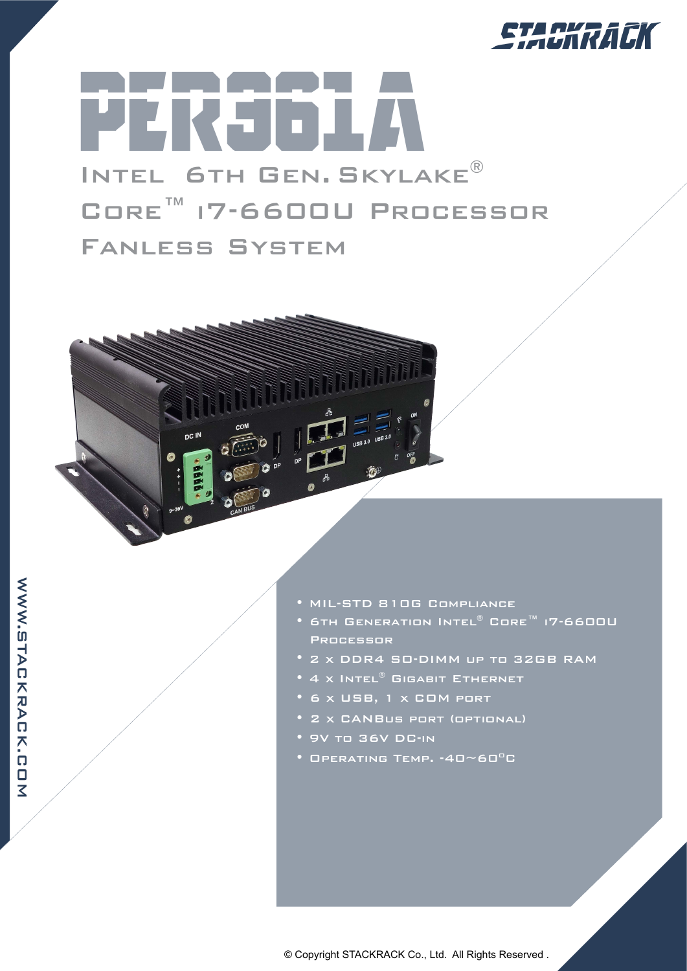

## per361A Intel 6th Gen. Skylake® Core™ i7-6600U Processor Fanless System



**NNW.SHACKRACK.COM** WWW.STACKRACK.COM

- MIL-STD 810G Compliance
- 6th Generation Intel® Core™ i7-6600U Processor
- 2 x DDR4 SO-DIMM up to 32GB RAM
- 4 x Intel® GIGABIT ETHERNET
- 6 x USB, 1 x COM port
- 2 x CANBus port (optional)
- 9V to 36V DC-in
- $\bullet$  Operating Temp.  $\cdot$ 40~60<sup>o</sup>C

© Copyright STACKRACK Co., Ltd. All Rights Reserved .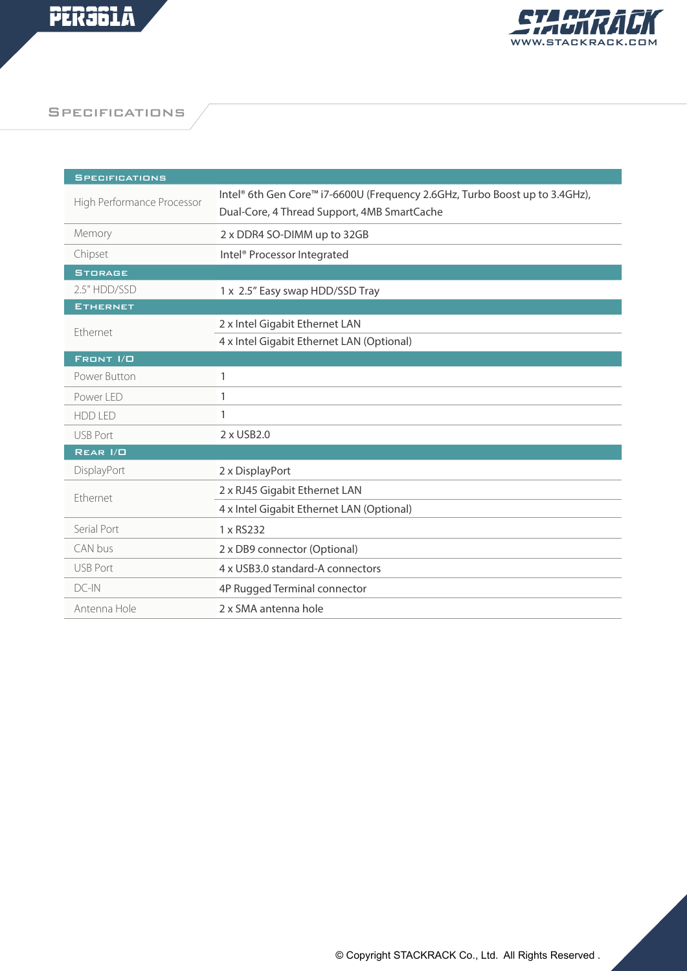

**SPECIFICATIONS** 

| <b>SPECIFICATIONS</b>      |                                                                             |
|----------------------------|-----------------------------------------------------------------------------|
| High Performance Processor | Intel® 6th Gen Core™ i7-6600U (Frequency 2.6GHz, Turbo Boost up to 3.4GHz), |
|                            | Dual-Core, 4 Thread Support, 4MB SmartCache                                 |
| Memory                     | 2 x DDR4 SO-DIMM up to 32GB                                                 |
| Chipset                    | Intel <sup>®</sup> Processor Integrated                                     |
| <b>STORAGE</b>             |                                                                             |
| 2.5" HDD/SSD               | 1 x 2.5" Easy swap HDD/SSD Tray                                             |
| <b>ETHERNET</b>            |                                                                             |
| Ethernet                   | 2 x Intel Gigabit Ethernet LAN                                              |
|                            | 4 x Intel Gigabit Ethernet LAN (Optional)                                   |
| FRONT I/O                  |                                                                             |
| Power Button               | 1                                                                           |
| Power LED                  | 1                                                                           |
| <b>HDD LED</b>             | 1                                                                           |
| <b>USB Port</b>            | 2 x USB2.0                                                                  |
| REAR I/O                   |                                                                             |
| DisplayPort                | 2 x DisplayPort                                                             |
| Ethernet                   | 2 x RJ45 Gigabit Ethernet LAN                                               |
|                            | 4 x Intel Gigabit Ethernet LAN (Optional)                                   |
| Serial Port                | 1 x RS232                                                                   |
| CAN bus                    | 2 x DB9 connector (Optional)                                                |
| <b>USB Port</b>            | 4 x USB3.0 standard-A connectors                                            |
| $DC-N$                     | 4P Rugged Terminal connector                                                |
| Antenna Hole               | 2 x SMA antenna hole                                                        |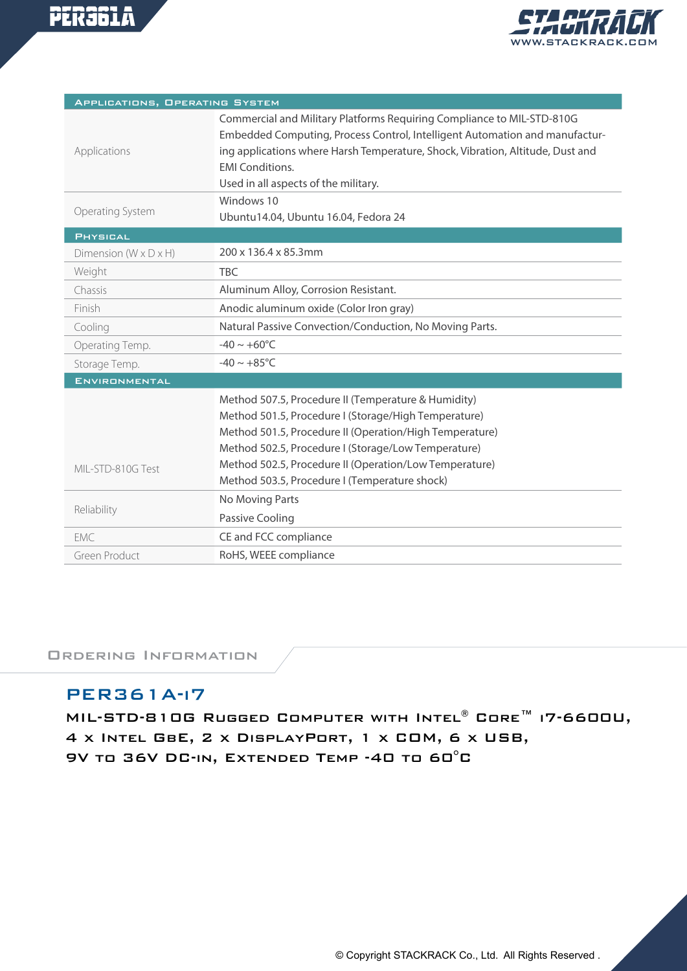



| APPLICATIONS, OPERATING SYSTEM      |                                                                                                                                                                                                                                                                                                           |  |
|-------------------------------------|-----------------------------------------------------------------------------------------------------------------------------------------------------------------------------------------------------------------------------------------------------------------------------------------------------------|--|
| Applications                        | Commercial and Military Platforms Requiring Compliance to MIL-STD-810G<br>Embedded Computing, Process Control, Intelligent Automation and manufactur-<br>ing applications where Harsh Temperature, Shock, Vibration, Altitude, Dust and<br><b>EMI Conditions.</b><br>Used in all aspects of the military. |  |
| Operating System                    | Windows 10<br>Ubuntu14.04, Ubuntu 16.04, Fedora 24                                                                                                                                                                                                                                                        |  |
| <b>PHYSICAL</b>                     |                                                                                                                                                                                                                                                                                                           |  |
| Dimension ( $W \times D \times H$ ) | 200 x 136.4 x 85.3mm                                                                                                                                                                                                                                                                                      |  |
| Weight                              | <b>TBC</b>                                                                                                                                                                                                                                                                                                |  |
| Chassis                             | Aluminum Alloy, Corrosion Resistant.                                                                                                                                                                                                                                                                      |  |
| Finish                              | Anodic aluminum oxide (Color Iron gray)                                                                                                                                                                                                                                                                   |  |
| Cooling                             | Natural Passive Convection/Conduction, No Moving Parts.                                                                                                                                                                                                                                                   |  |
| Operating Temp.                     | $-40 \sim +60^{\circ}C$                                                                                                                                                                                                                                                                                   |  |
| Storage Temp.                       | $-40 \sim +85^{\circ}$ C                                                                                                                                                                                                                                                                                  |  |
| <b>ENVIRONMENTAL</b>                |                                                                                                                                                                                                                                                                                                           |  |
|                                     | Method 507.5, Procedure II (Temperature & Humidity)                                                                                                                                                                                                                                                       |  |
|                                     | Method 501.5, Procedure I (Storage/High Temperature)                                                                                                                                                                                                                                                      |  |
|                                     | Method 501.5, Procedure II (Operation/High Temperature)                                                                                                                                                                                                                                                   |  |
|                                     | Method 502.5, Procedure I (Storage/Low Temperature)                                                                                                                                                                                                                                                       |  |
| MIL-STD-810G Test                   | Method 502.5, Procedure II (Operation/Low Temperature)                                                                                                                                                                                                                                                    |  |
|                                     | Method 503.5, Procedure I (Temperature shock)                                                                                                                                                                                                                                                             |  |
| Reliability                         | No Moving Parts                                                                                                                                                                                                                                                                                           |  |
|                                     | Passive Cooling                                                                                                                                                                                                                                                                                           |  |
| EMC.                                | CE and FCC compliance                                                                                                                                                                                                                                                                                     |  |
| Green Product                       | RoHS, WEEE compliance                                                                                                                                                                                                                                                                                     |  |

Ordering Information

## PER361A-i7

MIL-STD-810G Rugged Computer with Intel® Core™ i7-6600U, 4 x Intel GbE, 2 x DisplayPort, 1 x COM, 6 x USB, 9V to 36V DC-in, Extended Temp -40 to 60°C

© Copyright STACKRACK Co., Ltd. All Rights Reserved .